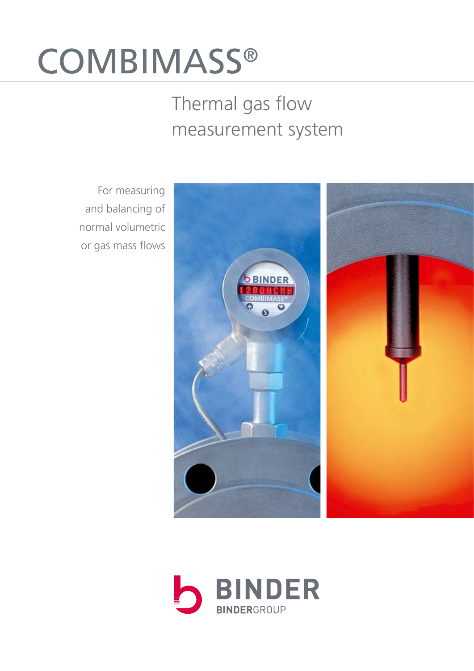# **COMBIMASS®**

## Thermal gas flow measurement system

For measuring and balancing of normal volumetric or gas mass flows



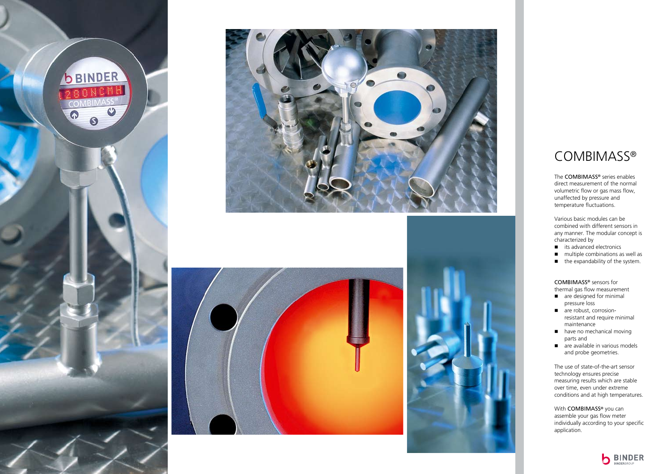







### COMBIMASS®

The **COMBIMASS®** series enables direct measurement of the normal volumetric flow or gas mass flow, unaffected by pressure and temperature fluctuations.

Various basic modules can be combined with different sensors in any manner. The modular concept is characterized by

- its advanced electronics
- multiple combinations as well as
- $\blacksquare$  the expandability of the system.

- **are designed for minimal** pressure loss
- are robust, corrosionresistant and require minimal maintenance
- have no mechanical moving parts and
- **a** are available in various models and probe geometries.

COMBIMASS® sensors for

thermal gas flow measurement

With **COMBIMASS®** you can assemble your gas flow meter individually according to your specific application.



The use of state-of-the-art sensor technology ensures precise measuring results which are stable over time, even under extreme conditions and at high temperatures.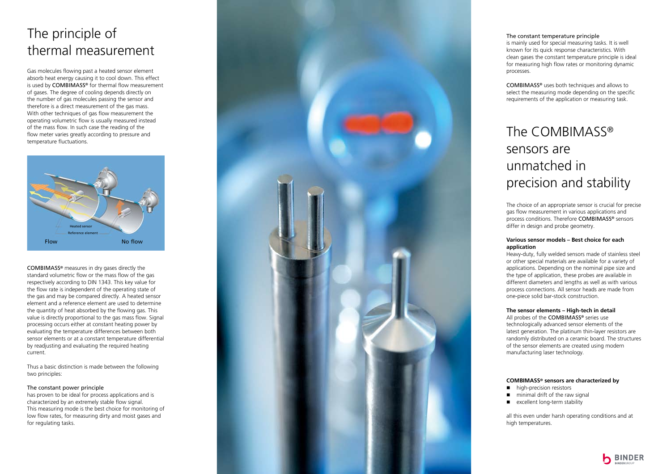## The COMBIMASS ® sensors are unmatched in precision and stability

The choice of an appropriate sensor is crucial for precise gas flow measurement in various applications and process conditions. Therefore COMBIMASS ® sensors differ in design and probe geometry.

### **Various sensor models – Best choice for each application**

Heavy-duty, fully welded sensors made of stainless steel or other special materials are available for a variety of applications. Depending on the nominal pipe size and the type of application, these probes are available in different diameters and lengths as well as with various process connections. All sensor heads are made from one-piece solid bar-stock construction.

All probes of the **COMBIMASS<sup>®</sup>** series use technologically advanced sensor elements of the latest generation. The platinum thin-layer resistors are randomly distributed on a ceramic board. The structures of the sensor elements are created using modern manufacturing laser technology.

- high-precision resistors
- minimal drift of the raw signal
- excellent long-term stability

all this even under harsh operating conditions and at ■ high-precision<br>■ minimal drift o<br>■ excellent long-<br>all this even under<br>high temperatures.



### **The sensor elements – High-tech in detail**

### **COMBIMASS ® sensors are characterized by**

## The principle of thermal measurement

Gas molecules flowing past a heated sensor element absorb heat energy causing it to cool down. This effect is used by **COMBIMASS<sup>®</sup>** for thermal flow measurement of gases. The degree of cooling depends directly on the number of gas molecules passing the sensor and therefore is a direct measurement of the gas mass. With other techniques of gas flow measurement the operating volumetric flow is usually measured instead of the mass flow. In such case the reading of the flow meter varies greatly according to pressure and temperature fluctuations.

COMBIMASS ® measures in dry gases directly the standard volumetric flow or the mass flow of the gas respectively according to DIN 1343. This key value for the flow rate is independent of the operating state of the gas and may be compared directly. A heated sensor element and a reference element are used to determine the quantity of heat absorbed by the flowing gas. This value is directly proportional to the gas mass flow. Signal processing occurs either at constant heating power by evaluating the temperature differences between both sensor elements or at a constant temperature differential by readjusting and evaluating the required heating current.

Thus a basic distinction is made between the following two principles:

### The constant power principle

has proven to be ideal for process applications and is characterized by an extremely stable flow signal. This measuring mode is the best choice for monitoring of low flow rates, for measuring dirty and moist gases and for regulating tasks.



### The constant temperature principle

is mainly used for special measuring tasks. It is well known for its quick response characteristics. With clean gases the constant temperature principle is ideal for measuring high flow rates or monitoring dynamic processes.

COMBIMASS ® uses both techniques and allows to select the measuring mode depending on the specific requirements of the application or measuring task.

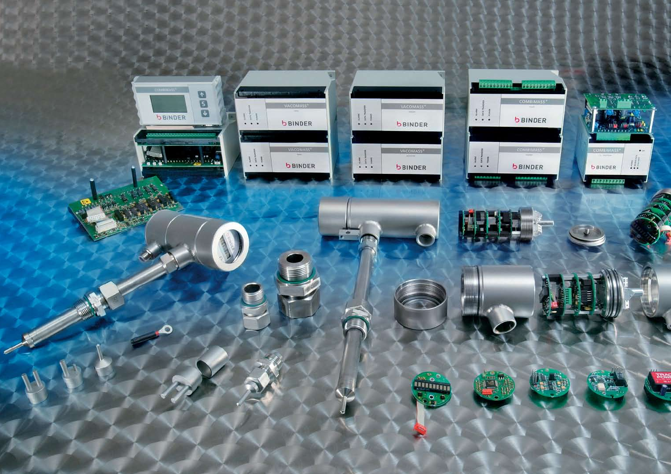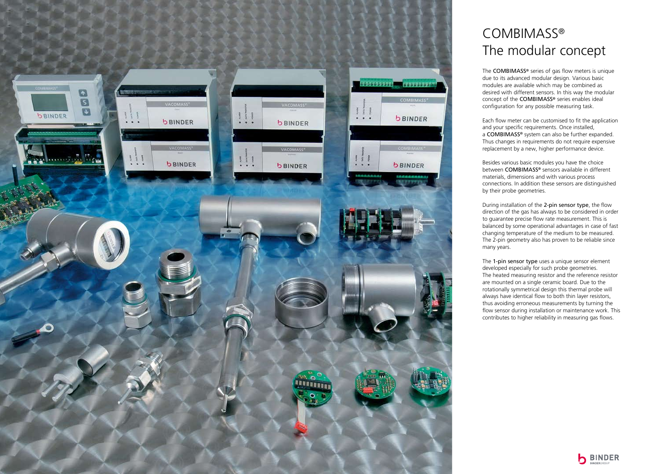The COMBIMASS® series of gas flow meters is unique due to its advanced modular design. Various basic modules are available which may be combined as desired with different sensors. In this way the modular concept of the COMBIMASS® series enables ideal configuration for any possible measuring task.

![](_page_4_Picture_0.jpeg)

Each flow meter can be customised to fit the application and your specific requirements. Once installed, a COMBIMASS® system can also be further expanded. Thus changes in requirements do not require expensive replacement by a new, higher performance device.

Besides various basic modules you have the choice between COMBIMASS® sensors available in different materials, dimensions and with various process connections. In addition these sensors are distinguished by their probe geometries.

The 1-pin sensor type uses a unique sensor element developed especially for such probe geometries. The heated measuring resistor and the reference resistor are mounted on a single ceramic board. Due to the rotationally symmetrical design this thermal probe will always have identical flow to both thin layer resistors, thus avoiding erroneous measurements by turning the flow sensor during installation or maintenance work. This contributes to higher reliability in measuring gas flows.

During installation of the 2-pin sensor type, the flow direction of the gas has always to be considered in order to guarantee precise flow rate measurement. This is balanced by some operational advantages in case of fast changing temperature of the medium to be measured. The 2-pin geometry also has proven to be reliable since

![](_page_4_Picture_10.jpeg)

many years.

## COMBIMASS® The modular concept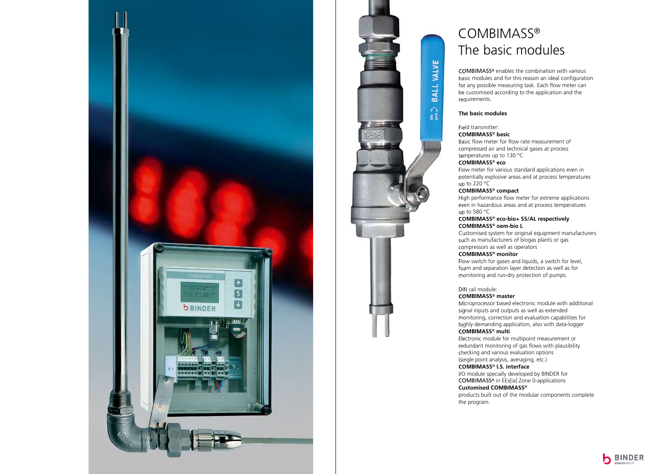![](_page_5_Picture_0.jpeg)

![](_page_5_Picture_1.jpeg)

## COMBIMASS® COMBIMASS The basic modules

COMBIMASS® enables the combination with various COMBIMASS basic modules and for this reason an ideal configuration for any possible measuring task. Each flow meter can be customised according to the application and the requirements.

**The basic modules**

High performance flow meter for extreme applications even in hazardous areas and at process temperatures

Field transmitter: **COMBIMASS**® **basic** Basic flow meter for flow rate measurement of compressed air and technical gases at process temperatures up to 130 °C **COMBIMASS**® **eco** Flow meter for various standard applications even in potentially explosive areas and at process temperatures up to 220 °C

**COMBIMASS**® **compact** up to 580 °C

Customised system for original equipment manufacturers such as manufacturers of biogas plants or gas

**COMBIMASS**® **oem-bio L** compressors as well as operators

![](_page_5_Picture_21.jpeg)

**COMBIMASS**® **monitor**  Flow switch for gases and liquids, a switch for level, foam and separation layer detection as well as for monitoring and run-dry protection of pumps.

DIN rail module: **COMBIMASS**® **master** Microprocessor based electronic module with additional signal inputs and outputs as well as extended monitoring, correction and evaluation capabilities for highly demanding application, also with data-logger **COMBIMASS**® **multi** Electronic module for multipoint measurement or redundant monitoring of gas flows with plausibility checking and various evaluation options (single point analysis, averaging, etc.) **COMBIMASS**® **I.S. interface** I/O module specially developed by BINDER for COMBIMASS® in EEx[ia] Zone 0-applications **Customised COMBIMASS**® products built out of the modular components complete the program.

### **COMBIMASS**® **eco-bio+ SS/AL respectively**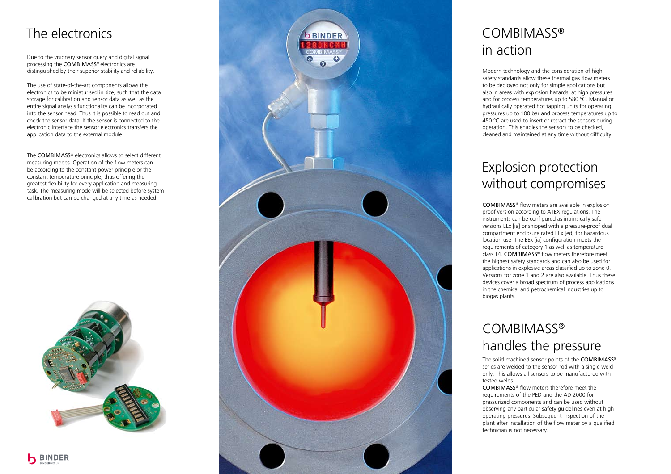## COMBIMASS ® in action

Modern technology and the consideration of high safety standards allow these thermal gas flow meters to be deployed not only for simple applications but also in areas with explosion hazards, at high pressures and for process temperatures up to 580 °C. Manual or hydraulically operated hot tapping units for operating pressures up to 100 bar and process temperatures up to 450 °C are used to insert or retract the sensors during operation. This enables the sensors to be checked, cleaned and maintained at any time without difficulty.

The solid machined sensor points of the COMBIMASS® series are welded to the sensor rod with a single weld only. This allows all sensors to be manufactured with

COMBIMASS ® flow meters are available in explosion proof version according to ATEX regulations. The instruments can be configured as intrinsically safe versions EEx [ia] or shipped with a pressure-proof dual compartment enclosure rated EEx [ed] for hazardous location use. The EEx [ia] configuration meets the requirements of category 1 as well as temperature class T4. COMBIMASS ® flow meters therefore meet the highest safety standards and can also be used for applications in explosive areas classified up to zone 0. Versions for zone 1 and 2 are also available. Thus these devices cover a broad spectrum of process applications in the chemical and petrochemical industries up to biogas plants.

tested welds.

COMBIMASS ® flow meters therefore meet the requirements of the PED and the AD 2000 for pressurized components and can be used without observing any particular safety guidelines even at high operating pressures. Subsequent inspection of the plant after installation of the flow meter by a qualified technician is not necessary.

### Explosion protection without compromises

## COMBIMASS ® handles the pressure

### The electronics

Due to the visionary sensor query and digital signal processing the COMBIMASS® electronics are distinguished by their superior stability and reliability.

The use of state-of-the-art components allows the electronics to be miniaturised in size, such that the data storage for calibration and sensor data as well as the entire signal analysis functionality can be incorporated into the sensor head. Thus it is possible to read out and check the sensor data. If the sensor is connected to the electronic interface the sensor electronics transfers the application data to the external module.

The COMBIMASS ® electronics allows to select different measuring modes. Operation of the flow meters can be according to the constant power principle or the constant temperature principle, thus offering the greatest flexibility for every application and measuring task. The measuring mode will be selected before system calibration but can be changed at any time as needed.

![](_page_6_Picture_4.jpeg)

![](_page_6_Picture_5.jpeg)

![](_page_6_Picture_6.jpeg)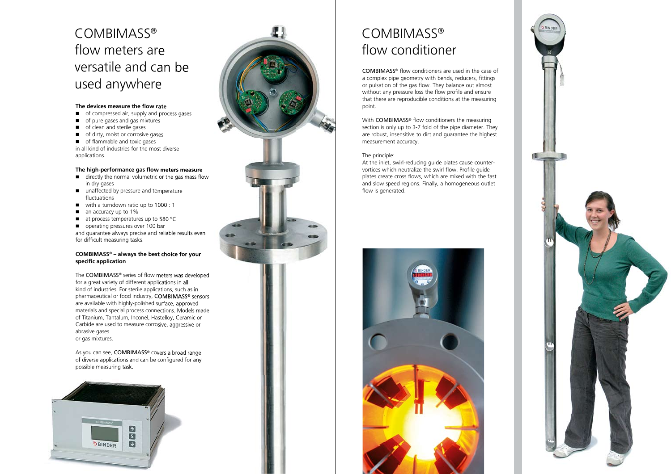### COMBIMASS ® flow meters are versatile and can be used anywhere

### **The devices measure the flow rate**

- of compressed air, supply and process gases
- of pure gases and gas mixtures
- of clean and sterile gases
- of dirty, moist or corrosive gases
- $\blacksquare$  of flammable and toxic gases

in all kind of industries for the most diverse applications.

### **The high-performance gas flow meters measure**

- $\blacksquare$  directly the normal volumetric or the gas mass flow in dry gases
- unaffected by pressure and temperature fluctuations
- with a turndown ratio up to 1000 : 1
- an accuracy up to 1%
- at process temperatures up to 580 °C
- operating pressures over 100 bar

and guarantee always precise and reliable results even for difficult measuring tasks.

### **COMBIMASS** ® **– always the best choice for your specific application**

The **COMBIMASS<sup>®</sup>** series of flow meters was developed for a great variety of different applications in all kind of industries. For sterile applications, such as in pharmaceutical or food industry, COMBIMASS ® sensors are available with highly-polished surface, approved materials and special process connections. Models made of Titanium, Tantalum, Inconel, Hastelloy, Ceramic or Carbide are used to measure corrosive, aggressive or abrasive gases or gas mixtures. ■ of compressed air, s<br>
■ of clean and sterile in of dirty, moist or co<br>
■ of dirty, moist or co<br>
■ of dirty, moist or co<br>
a of flammable and to<br>
in all kind of industries f<br>
applications.<br>
The high-performance<br>
directly

As you can see, **COMBIMASS®** covers a broad range of diverse applications and can be configured for any possible measuring task.

![](_page_7_Picture_19.jpeg)

![](_page_7_Picture_20.jpeg)

With **COMBIMASS<sup>®</sup>** flow conditioners the measuring section is only up to 3-7 fold of the pipe diameter. They are robust, insensitive to dirt and guarantee the highest measurement accuracy.

### COMBIMASS ® flow conditioner

COMBIMASS ® flow conditioners are used in the case of a complex pipe geometry with bends, reducers, fittings or pulsation of the gas flow. They balance out almost without any pressure loss the flow profile and ensure that there are reproducible conditions at the measuring point.

### The principle:

At the inlet, swirl-reducing guide plates cause countervortices which neutralize the swirl flow. Profile guide plates create cross flows, which are mixed with the fast and slow speed regions. Finally, a homogeneous outlet flow is generated.

![](_page_7_Picture_26.jpeg)

![](_page_7_Picture_27.jpeg)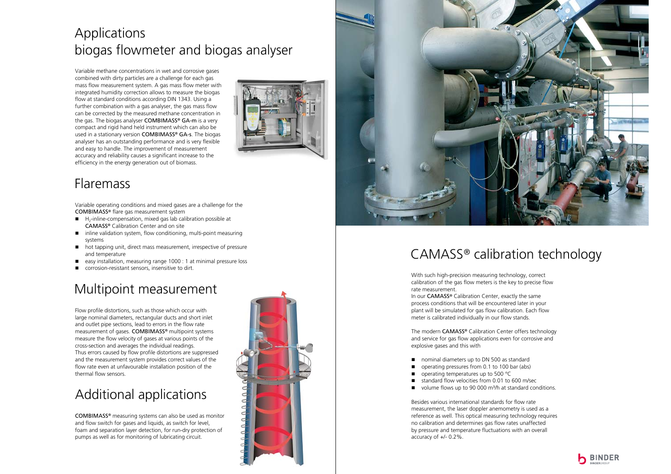## Multipoint measurement

Flow profile distortions, such as those which occur with large nominal diameters, rectangular ducts and short inlet and outlet pipe sections, lead to errors in the flow rate measurement of gases. COMBIMASS® multipoint systems measure the flow velocity of gases at various points of the cross-section and averages the individual readings. Thus errors caused by flow profile distortions are suppressed and the measurement system provides correct values of the flow rate even at unfavourable installation position of the thermal flow sensors.

- $\blacksquare$  H<sub>2</sub>-inline-compensation, mixed gas lab calibration possible at CAMASS® Calibration Center and on site
- inline validation system, flow conditioning, multi-point measuring systems
- hot tapping unit, direct mass measurement, irrespective of pressure and temperature
- easy installation, measuring range 1000 : 1 at minimal pressure loss
- corrosion-resistant sensors, insensitive to dirt.

## Additional applications

## Applications biogas flowmeter and biogas analyser

### Flaremass

Variable operating conditions and mixed gases are a challenge for the COMBIMASS® flare gas measurement system

COMBIMASS® measuring systems can also be used as monitor and flow switch for gases and liquids, as switch for level, foam and separation layer detection, for run-dry protection of pumps as well as for monitoring of lubricating circuit.

![](_page_8_Picture_14.jpeg)

![](_page_8_Picture_15.jpeg)

The modern **CAMASS®** Calibration Center offers technology and service for gas flow applications even for corrosive and explosive gases and this with

- nominal diameters up to DN 500 as standard  $\blacksquare$
- operating pressures from 0.1 to 100 bar (abs) Ξ
- operating temperatures up to 500 °C Ξ
- standard flow velocities from 0.01 to 600 m/sec Ξ
- volume flows up to 90 000  $\mathrm{m}^3$ /h at standard conditions.

Variable methane concentrations in wet and corrosive gases combined with dirty particles are a challenge for each gas mass flow measurement system. A gas mass flow meter with integrated humidity correction allows to measure the biogas flow at standard conditions according DIN 1343. Using a further combination with a gas analyser, the gas mass flow can be corrected by the measured methane concentration in the gas. The biogas analyser **COMBIMASS® GA-m** is a very compact and rigid hand held instrument which can also be used in a stationary version COMBIMASS® GA-s. The biogas analyser has an outstanding performance and is very flexible and easy to handle. The improvement of measurement accuracy and reliability causes a significant increase to the efficiency in the energy generation out of biomass.

![](_page_8_Picture_2.jpeg)

With such high-precision measuring technology, correct calibration of the gas flow meters is the key to precise flow rate measurement.

In our CAMASS® Calibration Center, exactly the same process conditions that will be encountered later in your plant will be simulated for gas flow calibration. Each flow meter is calibrated individually in our flow stands.

Besides various international standards for flow rate measurement, the laser doppler anemometry is used as a reference as well. This optical measuring technology requires no calibration and determines gas flow rates unaffected by pressure and temperature fluctuations with an overall accuracy of +/- 0.2%.

![](_page_8_Picture_27.jpeg)

## CAMASS® calibration technology